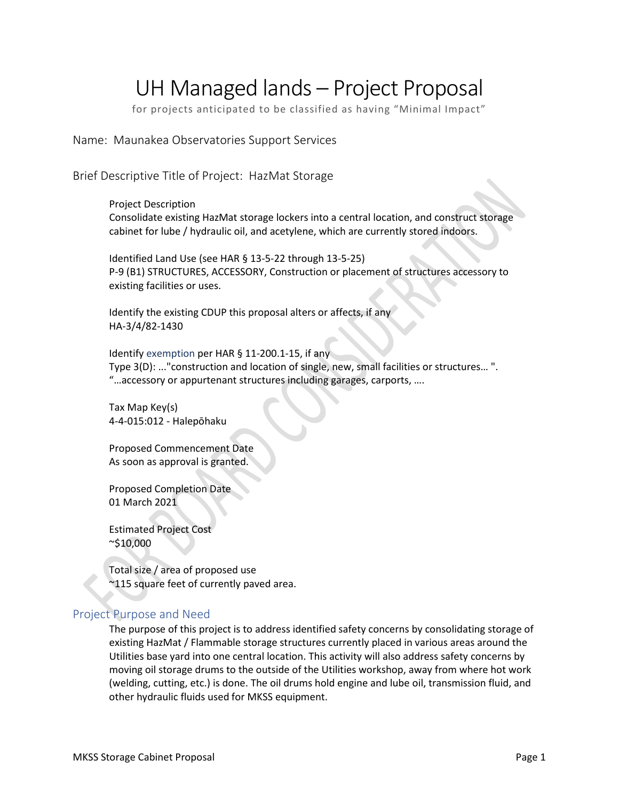# UH Managed lands – Project Proposal

for projects anticipated to be classified as having "Minimal Impact"

Name: Maunakea Observatories Support Services

Brief Descriptive Title of Project: HazMat Storage

Project Description

Consolidate existing HazMat storage lockers into a central location, and construct storage cabinet for lube / hydraulic oil, and acetylene, which are currently stored indoors.

Identified Land Use (see HAR § 13-5-22 through 13-5-25) P-9 (B1) STRUCTURES, ACCESSORY, Construction or placement of structures accessory to existing facilities or uses.

Identify the existing CDUP this proposal alters or affects, if any HA-3/4/82-1430

Identify exemption per HAR § 11-200.1-15, if any Type 3(D): ..."construction and location of single, new, small facilities or structures… ". "…accessory or appurtenant structures including garages, carports, ….

Tax Map Key(s) 4-4-015:012 - Halepōhaku

Proposed Commencement Date As soon as approval is granted.

Proposed Completion Date 01 March 2021

Estimated Project Cost ~\$10,000

Total size / area of proposed use  $\gamma$ 115 square feet of currently paved area.

# Project Purpose and Need

The purpose of this project is to address identified safety concerns by consolidating storage of existing HazMat / Flammable storage structures currently placed in various areas around the Utilities base yard into one central location. This activity will also address safety concerns by moving oil storage drums to the outside of the Utilities workshop, away from where hot work (welding, cutting, etc.) is done. The oil drums hold engine and lube oil, transmission fluid, and other hydraulic fluids used for MKSS equipment.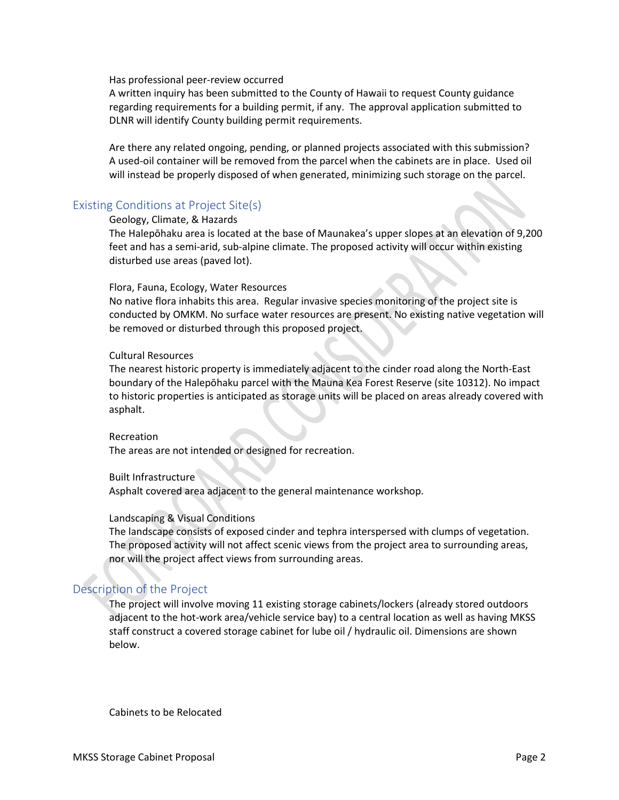Has professional peer-review occurred

A written inquiry has been submitted to the County of Hawaii to request County guidance regarding requirements for a building permit, if any. The approval application submitted to DLNR will identify County building permit requirements.

Are there any related ongoing, pending, or planned projects associated with this submission? A used-oil container will be removed from the parcel when the cabinets are in place. Used oil will instead be properly disposed of when generated, minimizing such storage on the parcel.

# Existing Conditions at Project Site(s)

#### Geology, Climate, & Hazards

The Halepōhaku area is located at the base of Maunakea's upper slopes at an elevation of 9,200 feet and has a semi-arid, sub-alpine climate. The proposed activity will occur within existing disturbed use areas (paved lot).

#### Flora, Fauna, Ecology, Water Resources

No native flora inhabits this area. Regular invasive species monitoring of the project site is conducted by OMKM. No surface water resources are present. No existing native vegetation will be removed or disturbed through this proposed project.

#### Cultural Resources

The nearest historic property is immediately adjacent to the cinder road along the North-East boundary of the Halepōhaku parcel with the Mauna Kea Forest Reserve (site 10312). No impact to historic properties is anticipated as storage units will be placed on areas already covered with asphalt.

#### Recreation

The areas are not intended or designed for recreation.

#### Built Infrastructure

Asphalt covered area adjacent to the general maintenance workshop.

#### Landscaping & Visual Conditions

The landscape consists of exposed cinder and tephra interspersed with clumps of vegetation. The proposed activity will not affect scenic views from the project area to surrounding areas, nor will the project affect views from surrounding areas.

# Description of the Project

The project will involve moving 11 existing storage cabinets/lockers (already stored outdoors adjacent to the hot-work area/vehicle service bay) to a central location as well as having MKSS staff construct a covered storage cabinet for lube oil / hydraulic oil. Dimensions are shown below.

Cabinets to be Relocated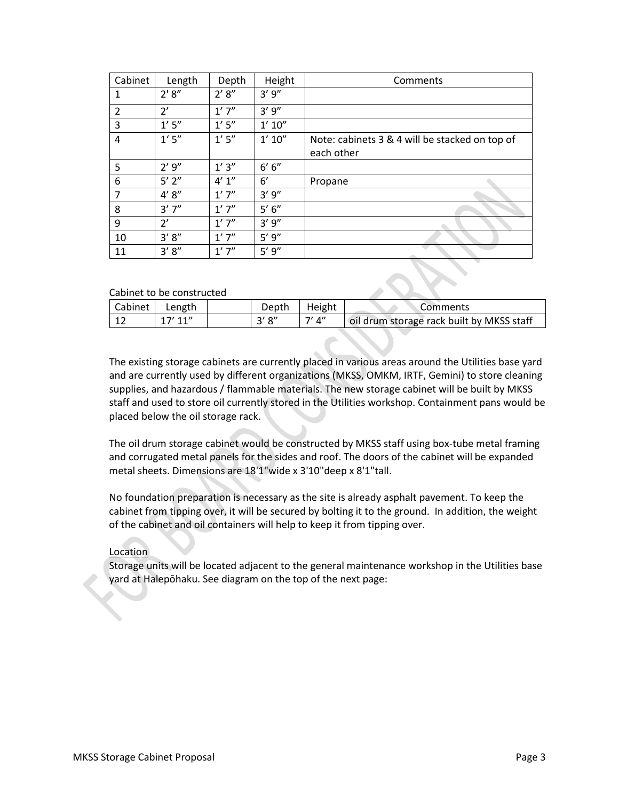| Cabinet       | Length    | Depth      | Height     | Comments                                                     |
|---------------|-----------|------------|------------|--------------------------------------------------------------|
| 1             | 2' 8''    | 2' 8''     | 3'9''      |                                                              |
| $\mathcal{P}$ | 2'        | 1'7''      | 3'9''      |                                                              |
| 3             | 1'5''     | $1'$ $5''$ | 1' 10''    |                                                              |
| 4             | 1'5''     | $1'$ $5''$ | 1' 10''    | Note: cabinets 3 & 4 will be stacked on top of<br>each other |
| 5             | 2'9''     | 1'3''      | 6' 6''     |                                                              |
| 6             | $5'$ $2"$ | 4' 1''     | 6'         | Propane                                                      |
| 7             | 4' 8''    | 1'7''      | 3'9''      |                                                              |
| 8             | 3'7''     | 1'7''      | $5' 6''$   |                                                              |
| 9             | 2'        | 1'7''      | 3'9''      |                                                              |
| 10            | 3' 8''    | 1'7''      | $5'$ $9''$ |                                                              |
| 11            | 3' 8''    | 1'7''      | $5'$ $9''$ |                                                              |

#### Cabinet to be constructed

| ______________________ |           |       |                 |                                           |  |  |  |  |
|------------------------|-----------|-------|-----------------|-------------------------------------------|--|--|--|--|
| Cabinet                | Length    | Depth | Height          | Comments                                  |  |  |  |  |
| ∸∸                     | $17'$ 11" | 3'8'' | $7'$ $\Delta$ " | oil drum storage rack built by MKSS staff |  |  |  |  |

The existing storage cabinets are currently placed in various areas around the Utilities base yard and are currently used by different organizations (MKSS, OMKM, IRTF, Gemini) to store cleaning supplies, and hazardous / flammable materials. The new storage cabinet will be built by MKSS staff and used to store oil currently stored in the Utilities workshop. Containment pans would be placed below the oil storage rack.

The oil drum storage cabinet would be constructed by MKSS staff using box-tube metal framing and corrugated metal panels for the sides and roof. The doors of the cabinet will be expanded metal sheets. Dimensions are 18'1"wide x 3'10"deep x 8'1"tall.

No foundation preparation is necessary as the site is already asphalt pavement. To keep the cabinet from tipping over, it will be secured by bolting it to the ground. In addition, the weight of the cabinet and oil containers will help to keep it from tipping over.

#### Location

Storage units will be located adjacent to the general maintenance workshop in the Utilities base yard at Halepōhaku. See diagram on the top of the next page: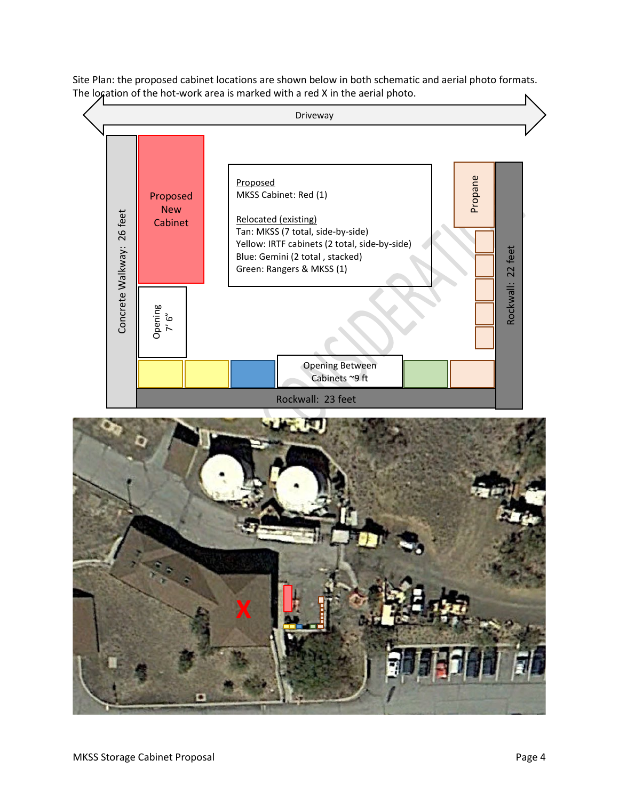

Site Plan: the proposed cabinet locations are shown below in both schematic and aerial photo formats. The logation of the hot-work area is marked with a red X in the aerial photo.

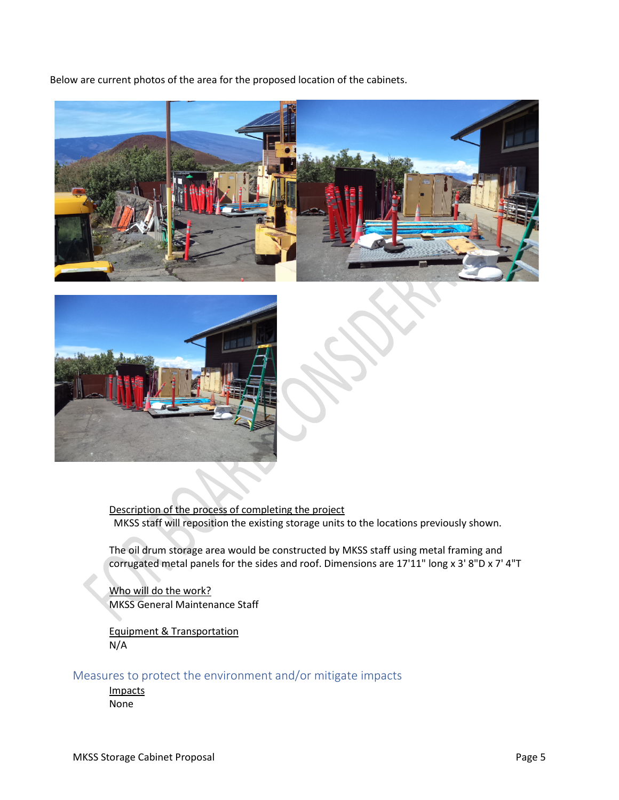Below are current photos of the area for the proposed location of the cabinets.





Description of the process of completing the project MKSS staff will reposition the existing storage units to the locations previously shown.

The oil drum storage area would be constructed by MKSS staff using metal framing and corrugated metal panels for the sides and roof. Dimensions are 17'11" long x 3' 8"D x 7' 4"T

Who will do the work? MKSS General Maintenance Staff

Equipment & Transportation N/A

# Measures to protect the environment and/or mitigate impacts

Impacts None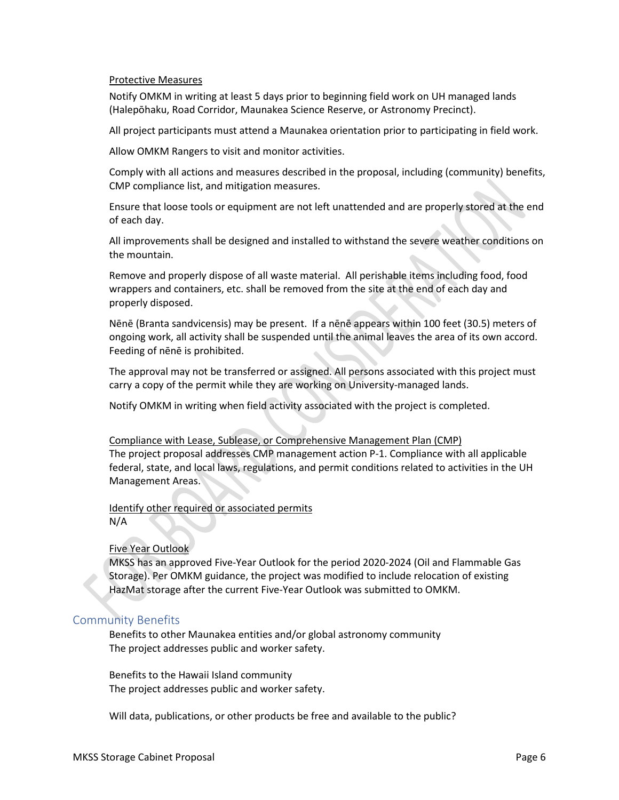#### Protective Measures

Notify OMKM in writing at least 5 days prior to beginning field work on UH managed lands (Halepōhaku, Road Corridor, Maunakea Science Reserve, or Astronomy Precinct).

All project participants must attend a Maunakea orientation prior to participating in field work.

Allow OMKM Rangers to visit and monitor activities.

Comply with all actions and measures described in the proposal, including (community) benefits, CMP compliance list, and mitigation measures.

Ensure that loose tools or equipment are not left unattended and are properly stored at the end of each day.

All improvements shall be designed and installed to withstand the severe weather conditions on the mountain.

Remove and properly dispose of all waste material. All perishable items including food, food wrappers and containers, etc. shall be removed from the site at the end of each day and properly disposed.

Nēnē (Branta sandvicensis) may be present. If a nēnē appears within 100 feet (30.5) meters of ongoing work, all activity shall be suspended until the animal leaves the area of its own accord. Feeding of nēnē is prohibited.

The approval may not be transferred or assigned. All persons associated with this project must carry a copy of the permit while they are working on University-managed lands.

Notify OMKM in writing when field activity associated with the project is completed.

Compliance with Lease, Sublease, or Comprehensive Management Plan (CMP) The project proposal addresses CMP management action P-1. Compliance with all applicable federal, state, and local laws, regulations, and permit conditions related to activities in the UH Management Areas.

#### Identify other required or associated permits N/A

#### Five Year Outlook

MKSS has an approved Five-Year Outlook for the period 2020-2024 (Oil and Flammable Gas Storage). Per OMKM guidance, the project was modified to include relocation of existing HazMat storage after the current Five-Year Outlook was submitted to OMKM.

# Community Benefits

Benefits to other Maunakea entities and/or global astronomy community The project addresses public and worker safety.

Benefits to the Hawaii Island community The project addresses public and worker safety.

Will data, publications, or other products be free and available to the public?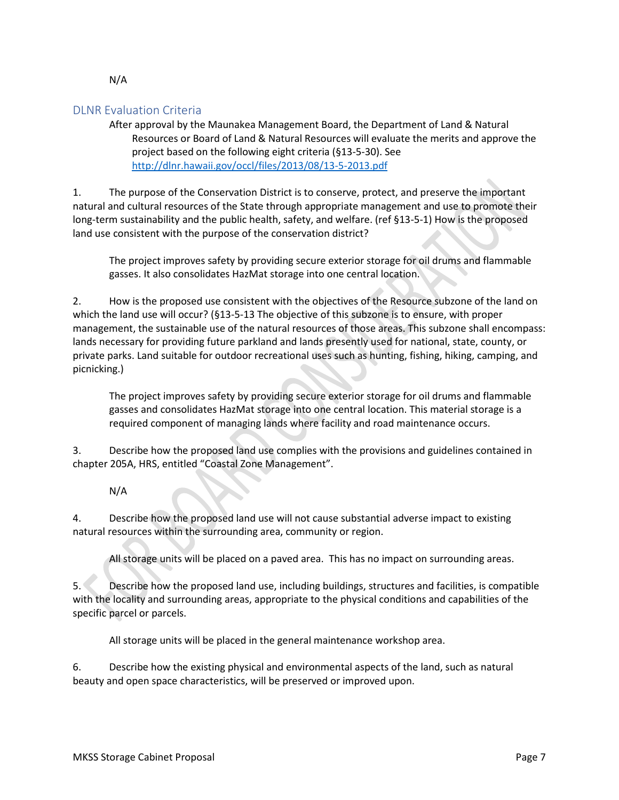# DLNR Evaluation Criteria

After approval by the Maunakea Management Board, the Department of Land & Natural Resources or Board of Land & Natural Resources will evaluate the merits and approve the project based on the following eight criteria (§13-5-30). See http://dlnr.hawaii.gov/occl/files/2013/08/13-5-2013.pdf

1. The purpose of the Conservation District is to conserve, protect, and preserve the important natural and cultural resources of the State through appropriate management and use to promote their long-term sustainability and the public health, safety, and welfare. (ref §13-5-1) How is the proposed land use consistent with the purpose of the conservation district?

The project improves safety by providing secure exterior storage for oil drums and flammable gasses. It also consolidates HazMat storage into one central location.

2. How is the proposed use consistent with the objectives of the Resource subzone of the land on which the land use will occur? (§13-5-13 The objective of this subzone is to ensure, with proper management, the sustainable use of the natural resources of those areas. This subzone shall encompass: lands necessary for providing future parkland and lands presently used for national, state, county, or private parks. Land suitable for outdoor recreational uses such as hunting, fishing, hiking, camping, and picnicking.)

The project improves safety by providing secure exterior storage for oil drums and flammable gasses and consolidates HazMat storage into one central location. This material storage is a required component of managing lands where facility and road maintenance occurs.

3. Describe how the proposed land use complies with the provisions and guidelines contained in chapter 205A, HRS, entitled "Coastal Zone Management".

# N/A

4. Describe how the proposed land use will not cause substantial adverse impact to existing natural resources within the surrounding area, community or region.

All storage units will be placed on a paved area. This has no impact on surrounding areas.

5. Describe how the proposed land use, including buildings, structures and facilities, is compatible with the locality and surrounding areas, appropriate to the physical conditions and capabilities of the specific parcel or parcels.

All storage units will be placed in the general maintenance workshop area.

6. Describe how the existing physical and environmental aspects of the land, such as natural beauty and open space characteristics, will be preserved or improved upon.

#### N/A